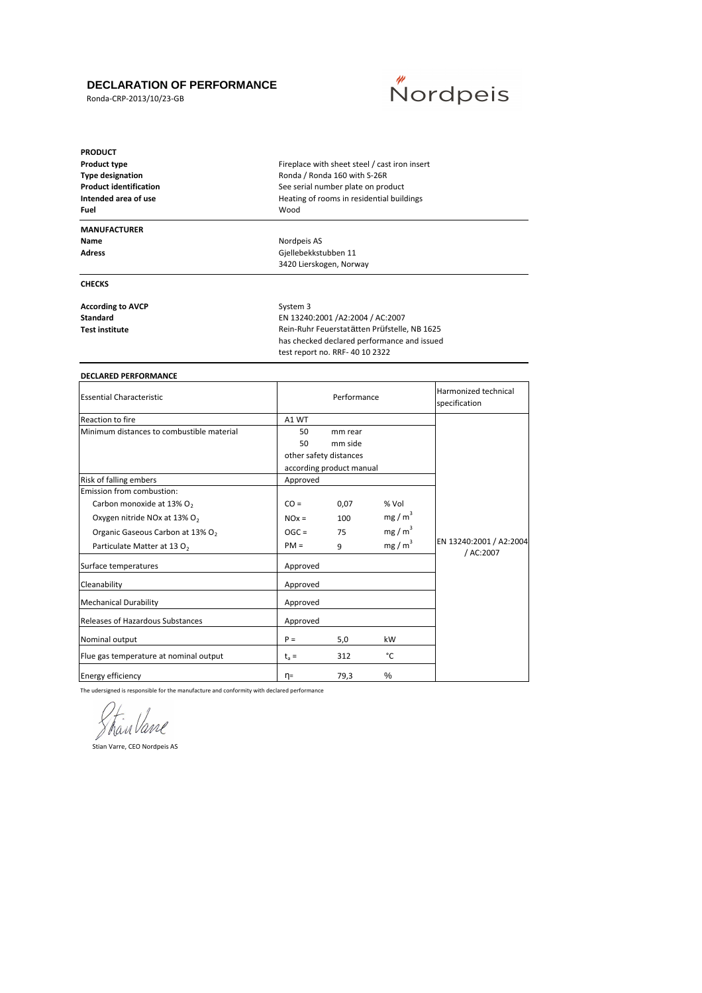#### **DECLARATION OF PERFORMANCE**

Ronda-CRP-2013/10/23-GB



| <b>PRODUCT</b>                |                                               |  |
|-------------------------------|-----------------------------------------------|--|
| <b>Product type</b>           | Fireplace with sheet steel / cast iron insert |  |
| <b>Type designation</b>       | Ronda / Ronda 160 with S-26R                  |  |
| <b>Product identification</b> | See serial number plate on product            |  |
| Intended area of use          | Heating of rooms in residential buildings     |  |
| Fuel                          | Wood                                          |  |
| <b>MANUFACTURER</b>           |                                               |  |
| Name                          | Nordpeis AS                                   |  |
| <b>Adress</b>                 | Gjellebekkstubben 11                          |  |
|                               | 3420 Lierskogen, Norway                       |  |
| <b>CHECKS</b>                 |                                               |  |
| <b>According to AVCP</b>      | System 3                                      |  |
| <b>Standard</b>               | EN 13240:2001 /A2:2004 / AC:2007              |  |
| <b>Test institute</b>         | Rein-Ruhr Feuerstatätten Prüfstelle, NB 1625  |  |
|                               | has checked declared performance and issued   |  |
|                               | test report no. RRF- 40 10 2322               |  |
| <b>DECLARED PERFORMANCE</b>   |                                               |  |
|                               |                                               |  |

| <b>Essential Characteristic</b>              |          | Performance              | Harmonized technical<br>specification |                                      |
|----------------------------------------------|----------|--------------------------|---------------------------------------|--------------------------------------|
| <b>Reaction to fire</b>                      | A1 WT    |                          |                                       |                                      |
| Minimum distances to combustible material    | 50       | mm rear                  |                                       |                                      |
|                                              | 50       | mm side                  |                                       |                                      |
|                                              |          | other safety distances   |                                       |                                      |
|                                              |          | according product manual |                                       |                                      |
| Risk of falling embers                       | Approved |                          |                                       |                                      |
| Emission from combustion:                    |          |                          |                                       |                                      |
| Carbon monoxide at 13% O <sub>2</sub>        | $CO =$   | 0,07                     | % Vol                                 |                                      |
| Oxygen nitride NOx at 13% O <sub>2</sub>     | $NOx =$  | 100                      | mg/m <sup>3</sup>                     |                                      |
| Organic Gaseous Carbon at 13% O <sub>2</sub> | $OGC =$  | 75                       | mg/m <sup>3</sup>                     |                                      |
| Particulate Matter at 13 O <sub>2</sub>      | $PM =$   | 9                        | mg/m <sup>3</sup>                     | EN 13240:2001 / A2:2004<br>/ AC:2007 |
| Surface temperatures                         | Approved |                          |                                       |                                      |
| Cleanability                                 | Approved |                          |                                       |                                      |
| <b>Mechanical Durability</b>                 | Approved |                          |                                       |                                      |
| Releases of Hazardous Substances             | Approved |                          |                                       |                                      |
| Nominal output                               | $P =$    | 5,0                      | kW                                    |                                      |
| Flue gas temperature at nominal output       | $t_a =$  | 312                      | °C                                    |                                      |
| <b>Energy efficiency</b>                     | η=       | 79,3                     | $\%$                                  |                                      |

The udersigned is responsible for the manufacture and conformity with declared performance

ShanVane

Stian Varre, CEO Nordpeis AS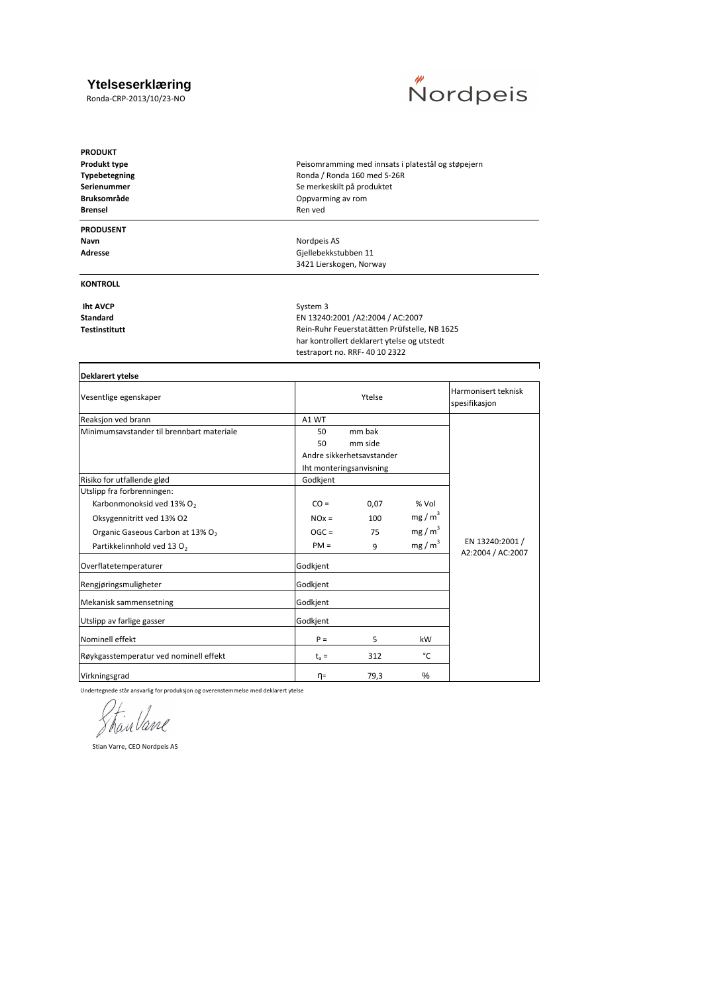#### **Ytelseserklæring**

Ronda-CRP-2013/10/23-NO



| <b>PRODUKT</b><br>Produkt type<br>Typebetegning<br>Serienummer<br><b>Bruksområde</b><br><b>Brensel</b>                                                                         | Peisomramming med innsats i platestål og støpejern<br>Ronda / Ronda 160 med S-26R<br>Se merkeskilt på produktet<br>Oppvarming av rom<br>Ren ved                              |                        |                                                                      |                                      |
|--------------------------------------------------------------------------------------------------------------------------------------------------------------------------------|------------------------------------------------------------------------------------------------------------------------------------------------------------------------------|------------------------|----------------------------------------------------------------------|--------------------------------------|
| <b>PRODUSENT</b><br>Navn<br>Adresse                                                                                                                                            | Nordpeis AS<br>Gjellebekkstubben 11<br>3421 Lierskogen, Norway                                                                                                               |                        |                                                                      |                                      |
| <b>KONTROLL</b>                                                                                                                                                                |                                                                                                                                                                              |                        |                                                                      |                                      |
| <b>Iht AVCP</b><br><b>Standard</b><br><b>Testinstitutt</b>                                                                                                                     | System 3<br>EN 13240:2001 /A2:2004 / AC:2007<br>Rein-Ruhr Feuerstatätten Prüfstelle, NB 1625<br>har kontrollert deklarert ytelse og utstedt<br>testraport no. RRF-40 10 2322 |                        |                                                                      |                                      |
| Deklarert ytelse                                                                                                                                                               |                                                                                                                                                                              |                        |                                                                      |                                      |
| Vesentlige egenskaper                                                                                                                                                          |                                                                                                                                                                              | Ytelse                 |                                                                      | Harmonisert teknisk<br>spesifikasjon |
| Reaksjon ved brann                                                                                                                                                             | A1 WT                                                                                                                                                                        |                        |                                                                      |                                      |
| Minimumsaystander til brennbart materiale                                                                                                                                      | 50<br>50<br>Andre sikkerhetsavstander<br>Iht monteringsanvisning                                                                                                             | mm bak<br>mm side      |                                                                      |                                      |
| Risiko for utfallende glød                                                                                                                                                     | Godkjent                                                                                                                                                                     |                        |                                                                      |                                      |
| Utslipp fra forbrenningen:<br>Karbonmonoksid ved 13% O2<br>Oksygennitritt ved 13% O2<br>Organic Gaseous Carbon at 13% O <sub>2</sub><br>Partikkelinnhold ved 13 O <sub>2</sub> | $CO =$<br>$NOx =$<br>$OGC =$<br>$PM =$                                                                                                                                       | 0,07<br>100<br>75<br>9 | % Vol<br>mg/m <sup>3</sup><br>mg/m <sup>3</sup><br>mg/m <sup>3</sup> | EN 13240:2001 /                      |
| Overflatetemperaturer                                                                                                                                                          | Godkjent                                                                                                                                                                     |                        |                                                                      | A2:2004 / AC:2007                    |
| Rengjøringsmuligheter                                                                                                                                                          | Godkjent                                                                                                                                                                     |                        |                                                                      |                                      |
| Mekanisk sammensetning                                                                                                                                                         | Godkjent                                                                                                                                                                     |                        |                                                                      |                                      |
| Utslipp av farlige gasser                                                                                                                                                      | Godkjent                                                                                                                                                                     |                        |                                                                      |                                      |
| Nominell effekt                                                                                                                                                                | $P =$                                                                                                                                                                        | 5                      | kW                                                                   |                                      |
| Røykgasstemperatur ved nominell effekt                                                                                                                                         | $t_a =$                                                                                                                                                                      | 312                    | °C                                                                   |                                      |

Virkningsgrad 96 March 2012 12 March 2013 12 March 2013 12 March 2014 12 March 2014 12 March 2014 12 March 201

Undertegnede står ansvarlig for produksjon og overenstemmelse med deklarert ytelse

ShanVane

Stian Varre, CEO Nordpeis AS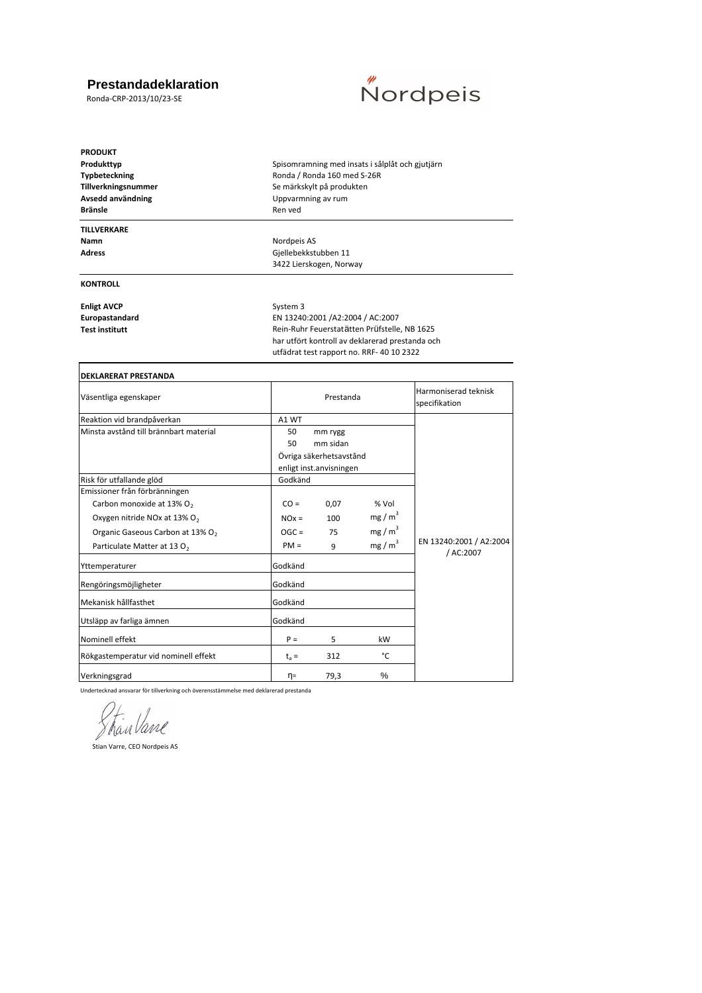## **Prestandadeklaration**

Ronda-CRP-2013/10/23-SE

# **Kordpeis**

| <b>PRODUKT</b><br>Produkttyp<br>Typbeteckning<br>Tillverkningsnummer<br>Avsedd användning<br><b>Bränsle</b> | Spisomramning med insats i sålplåt och gjutjärn<br>Ronda / Ronda 160 med S-26R<br>Se märkskylt på produkten<br>Uppvarmning av rum<br>Ren ved |                                                                                                                                                                                  |  |  |  |  |
|-------------------------------------------------------------------------------------------------------------|----------------------------------------------------------------------------------------------------------------------------------------------|----------------------------------------------------------------------------------------------------------------------------------------------------------------------------------|--|--|--|--|
| <b>TILLVERKARE</b><br>Namn<br><b>Adress</b>                                                                 | Nordpeis AS<br>Gjellebekkstubben 11<br>3422 Lierskogen, Norway                                                                               |                                                                                                                                                                                  |  |  |  |  |
| <b>KONTROLL</b>                                                                                             |                                                                                                                                              |                                                                                                                                                                                  |  |  |  |  |
| <b>Enligt AVCP</b><br>Europastandard<br><b>Test institutt</b>                                               | System 3                                                                                                                                     | EN 13240:2001 /A2:2004 / AC:2007<br>Rein-Ruhr Feuerstatätten Prüfstelle, NB 1625<br>har utfört kontroll av deklarerad prestanda och<br>utfädrat test rapport no. RRF- 40 10 2322 |  |  |  |  |
| <b>DEKLARERAT PRESTANDA</b>                                                                                 |                                                                                                                                              |                                                                                                                                                                                  |  |  |  |  |
| Väsentliga egenskaper                                                                                       | Prestanda                                                                                                                                    | Harmoniserad teknisk<br>specifikation                                                                                                                                            |  |  |  |  |
| Reaktion vid brandpåverkan                                                                                  | A1 WT                                                                                                                                        |                                                                                                                                                                                  |  |  |  |  |
| Minsta avstånd till brännbart material                                                                      | 50<br>mm rygg<br>50<br>mm sidan<br>Övriga säkerhetsavstånd                                                                                   |                                                                                                                                                                                  |  |  |  |  |

| Minsta avstånd till brännbart material       | 50      | mm rygg                 |                   |                                      |
|----------------------------------------------|---------|-------------------------|-------------------|--------------------------------------|
|                                              | 50      | mm sidan                |                   |                                      |
|                                              |         | Övriga säkerhetsavstånd |                   |                                      |
|                                              |         | enligt inst.anvisningen |                   |                                      |
| Risk för utfallande glöd                     | Godkänd |                         |                   |                                      |
| Emissioner från förbränningen                |         |                         |                   |                                      |
| Carbon monoxide at 13% O <sub>2</sub>        | $CO =$  | 0,07                    | % Vol             |                                      |
| Oxygen nitride NOx at 13% O <sub>2</sub>     | $NOx =$ | 100                     | $mg/m^3$          |                                      |
| Organic Gaseous Carbon at 13% O <sub>2</sub> | $OGC =$ | 75                      | mg/m <sup>3</sup> |                                      |
| Particulate Matter at 13 O <sub>2</sub>      | $PM =$  | 9                       | mg/m <sup>3</sup> | EN 13240:2001 / A2:2004<br>/ AC:2007 |
| Yttemperaturer                               | Godkänd |                         |                   |                                      |
| Rengöringsmöjligheter                        | Godkänd |                         |                   |                                      |
| Mekanisk hållfasthet                         | Godkänd |                         |                   |                                      |
| Utsläpp av farliga ämnen                     | Godkänd |                         |                   |                                      |
| Nominell effekt                              | $P =$   | 5                       | kW                |                                      |
| Rökgastemperatur vid nominell effekt         | $t_a =$ | 312                     | °C                |                                      |
| Verkningsgrad                                | $n =$   | 79,3                    | $\%$              |                                      |

Undertecknad ansvarar för tillverkning och överensstämmelse med deklarerad prestanda

Stian Vane

Stian Varre, CEO Nordpeis AS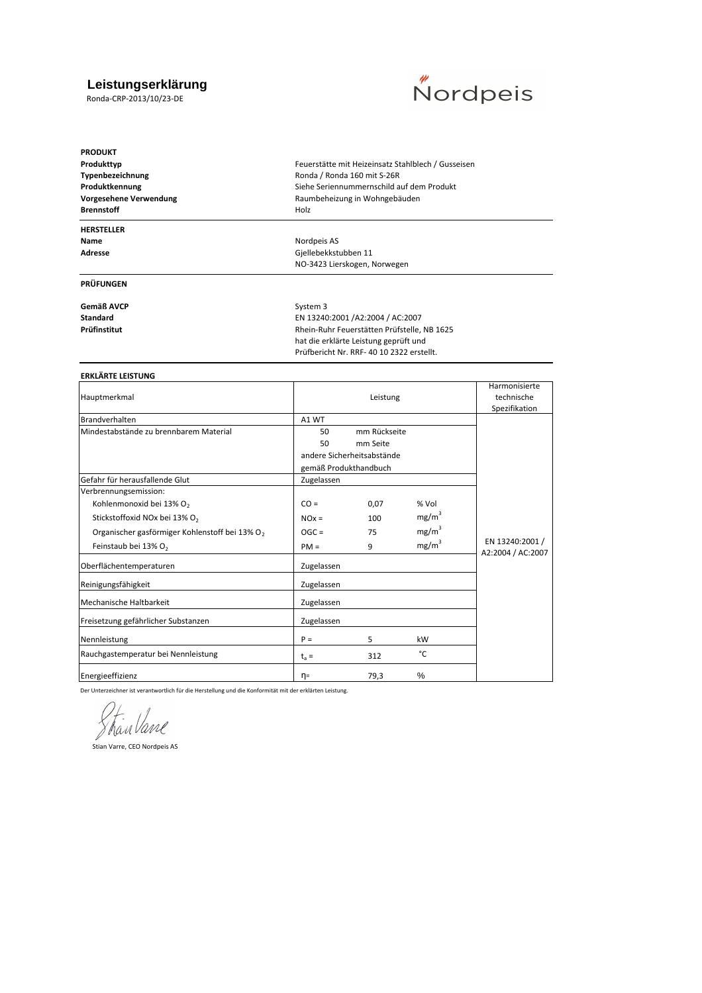#### **Leistungserklärung**

Ronda-CRP-2013/10/23-DE



**PRODUKT Brennstoff** Holz

## **HERSTELLER**

#### **PRÜFUNGEN**

Gemäß AVCP<br>
System 3

Produkttyp **Produkttyp Produkttyp Feuerstätte mit Heizeinsatz Stahlblech / Gusseisen Typenbezeichnung** Ronda / Ronda 160 mit S-26R **Produktkennung** Siehe Seriennummernschild auf dem Produkt Vorgesehene Verwendung **Natural Raumbeheizung in Wohngebäuden** 

**Name** Nordpeis AS<br> **Adresse** Communication of the Communication of the Communication of the Communication of the Communication of the Communication of the Communication of the Communication of the Communication of the Com **Adresse** Gjellebekkstubben 11 NO-3423 Lierskogen, Norwegen

**Standard EN 13240:2001 /A2:2004 / AC:2007<br><b>Prüfinstitut EN 13240:2001 /ADILITY / Rhein-Ruhr Feuerstätten Prüfstelle**, **Prüfinstitut** Rhein-Ruhr Feuerstätten Prüfstelle, NB 1625 hat die erklärte Leistung geprüft und Prüfbericht Nr. RRF- 40 10 2322 erstellt.

#### **ERKLÄRTE LEISTUNG**

|            | Harmonisierte |                                                                 |                                      |
|------------|---------------|-----------------------------------------------------------------|--------------------------------------|
|            | technische    |                                                                 |                                      |
|            |               |                                                                 | Spezifikation                        |
| A1 WT      |               |                                                                 |                                      |
| 50         |               |                                                                 |                                      |
| 50         | mm Seite      |                                                                 |                                      |
|            |               |                                                                 |                                      |
|            |               |                                                                 |                                      |
| Zugelassen |               |                                                                 |                                      |
|            |               |                                                                 |                                      |
| $CO =$     | 0,07          | % Vol                                                           |                                      |
| $NOx =$    | 100           | mg/m <sup>3</sup>                                               |                                      |
| $OGC =$    | 75            | mg/m <sup>3</sup>                                               |                                      |
| $PM =$     | 9             | mg/m <sup>3</sup>                                               | EN 13240:2001 /<br>A2:2004 / AC:2007 |
| Zugelassen |               |                                                                 |                                      |
| Zugelassen |               |                                                                 |                                      |
| Zugelassen |               |                                                                 |                                      |
| Zugelassen |               |                                                                 |                                      |
| $P =$      | 5             | kW                                                              |                                      |
| $t_a =$    | 312           | °C                                                              |                                      |
| η=         | 79,3          | $\%$                                                            |                                      |
|            |               | Leistung<br>andere Sicherheitsabstände<br>gemäß Produkthandbuch | mm Rückseite                         |

Der Unterzeichner ist verantwortlich für die Herstellung und die Konformität mit der erklärten Leistung.

Shan Vane

Stian Varre, CEO Nordpeis AS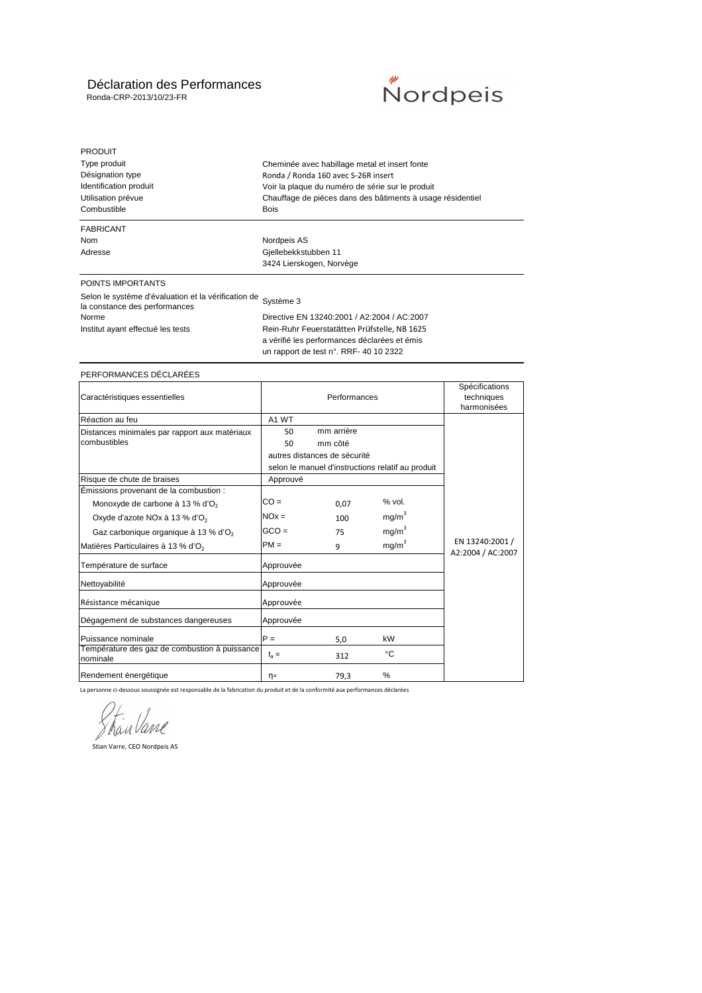## Déclaration des Performances

Ronda-CRP-2013/10/23-FR



| <b>PRODUIT</b><br>Type produit<br>Désignation type<br>Identification produit<br>Utilisation prévue<br>Combustible | Cheminée avec habillage metal et insert fonte<br>Ronda / Ronda 160 avec S-26R insert<br>Voir la plaque du numéro de série sur le produit<br>Chauffage de pièces dans des bâtiments à usage résidentiel<br>Bois |
|-------------------------------------------------------------------------------------------------------------------|----------------------------------------------------------------------------------------------------------------------------------------------------------------------------------------------------------------|
| <b>FABRICANT</b>                                                                                                  | Nordpeis AS                                                                                                                                                                                                    |
| <b>Nom</b>                                                                                                        | Gjellebekkstubben 11                                                                                                                                                                                           |
| Adresse                                                                                                           | 3424 Lierskogen, Norvège                                                                                                                                                                                       |
| POINTS IMPORTANTS                                                                                                 | Système 3                                                                                                                                                                                                      |
| Selon le système d'évaluation et la vérification de                                                               | Directive EN 13240:2001 / A2:2004 / AC:2007                                                                                                                                                                    |
| la constance des performances                                                                                     | Rein-Ruhr Feuerstatätten Prüfstelle, NB 1625                                                                                                                                                                   |
| Norme                                                                                                             | a vérifié les performances déclarées et émis                                                                                                                                                                   |
| Institut ayant effectué les tests                                                                                 | un rapport de test n°. RRF- 40 10 2322                                                                                                                                                                         |

#### PERFORMANCES DÉCLARÉES

| Caractéristiques essentielles                             |                   | Spécifications<br>techniques<br>harmonisées |                                                   |                                      |
|-----------------------------------------------------------|-------------------|---------------------------------------------|---------------------------------------------------|--------------------------------------|
| Réaction au feu                                           | A <sub>1</sub> WT |                                             |                                                   |                                      |
| Distances minimales par rapport aux matériaux             | 50                | mm arrière                                  |                                                   |                                      |
| combustibles                                              | 50                | mm côté                                     |                                                   |                                      |
|                                                           |                   | autres distances de sécurité                |                                                   |                                      |
|                                                           |                   |                                             | selon le manuel d'instructions relatif au produit |                                      |
| Risque de chute de braises                                | Approuvé          |                                             |                                                   |                                      |
| Emissions provenant de la combustion :                    |                   |                                             |                                                   |                                      |
| Monoxyde de carbone à 13 % d'O <sub>2</sub>               | $CO =$            | 0.07                                        | $%$ vol.                                          |                                      |
| Oxyde d'azote NOx à 13 % d'O <sub>2</sub>                 | $NOx =$           | 100                                         | mg/m <sup>3</sup>                                 |                                      |
| Gaz carbonique organique à 13 % d'O <sub>2</sub>          | $GCO =$           | 75                                          | mg/m <sup>3</sup>                                 |                                      |
| Matières Particulaires à 13 % d'O <sub>2</sub>            | $PM =$            | 9                                           | mg/m <sup>3</sup>                                 | EN 13240:2001 /<br>A2:2004 / AC:2007 |
| Température de surface                                    | Approuvée         |                                             |                                                   |                                      |
| Nettoyabilité                                             | Approuvée         |                                             |                                                   |                                      |
| Résistance mécanique                                      | Approuvée         |                                             |                                                   |                                      |
| Dégagement de substances dangereuses                      | Approuvée         |                                             |                                                   |                                      |
| Puissance nominale                                        | $P =$             | 5,0                                         | kW                                                |                                      |
| Température des gaz de combustion à puissance<br>nominale | $t_a =$           | 312                                         | °C                                                |                                      |
| Rendement énergétique                                     | η=                | 79,3                                        | $\%$                                              |                                      |

La personne ci-dessous soussignée est responsable de la fabrication du produit et de la conformité aux performances déclarées

ShanVane

Stian Varre, CEO Nordpeis AS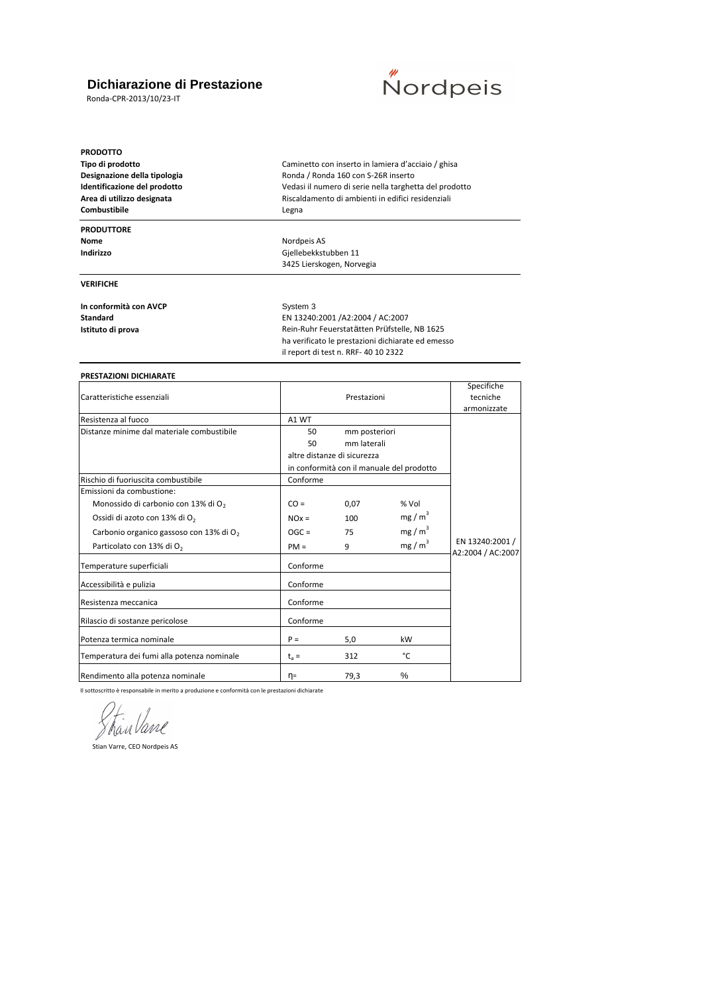## **Dichiarazione di Prestazione**

Ronda-CPR-2013/10/23-IT



**PRODOTTO Tipo di prodotto** Caminetto con inserto in lamiera d'acciaio / ghisa

#### **PRODUTTORE**

**Nome** Nordpeis AS<br> **Indirizzo** Company and Company Company Company Company Company Company Company Company Company Company Company Company Company Company Company Company Company Company Company Company Company Company Co

**Designazione della tipologia** Ronda / Ronda 160 con S-26R inserto **Identificazione del prodotto** Vedasi il numero di serie nella targhetta del prodotto **Area di utilizzo designata** Riscaldamento di ambienti in edifici residenziali **Combustibile** Legna

**VERIFICHE**

**In conformità con AVCP** System 3

**Standard** EN 13240:2001 /A2:2004 / AC:2007 **Istituto di prova Istituto di prova Rein-Ruhr Feuerstatätten Prüfstelle, NB 1625** ha verificato le prestazioni dichiarate ed emesso il report di test n. RRF- 40 10 2322

**Indirizzo** Gjellebekkstubben 11 3425 Lierskogen, Norvegia

#### **PRESTAZIONI DICHIARATE**

| Caratteristiche essenziali                          |          | tecniche                    |                                           |                                      |  |
|-----------------------------------------------------|----------|-----------------------------|-------------------------------------------|--------------------------------------|--|
|                                                     |          |                             |                                           | armonizzate                          |  |
| Resistenza al fuoco                                 | A1 WT    |                             |                                           |                                      |  |
| Distanze minime dal materiale combustibile          | 50       | mm posteriori               |                                           |                                      |  |
|                                                     | 50       | mm laterali                 |                                           |                                      |  |
|                                                     |          | altre distanze di sicurezza |                                           |                                      |  |
|                                                     |          |                             | in conformità con il manuale del prodotto |                                      |  |
| Rischio di fuoriuscita combustibile                 | Conforme |                             |                                           |                                      |  |
| Emissioni da combustione:                           |          |                             |                                           |                                      |  |
| Monossido di carbonio con 13% di O <sub>2</sub>     | $CO =$   | 0,07                        | % Vol                                     |                                      |  |
| Ossidi di azoto con 13% di O <sub>2</sub>           | $NOx =$  | 100                         | mg/m <sup>3</sup>                         |                                      |  |
| Carbonio organico gassoso con 13% di O <sub>2</sub> | $OGC =$  | 75                          | mg/m <sup>3</sup>                         |                                      |  |
| Particolato con 13% di O <sub>2</sub>               | $PM =$   | 9                           | mg/m <sup>3</sup>                         | EN 13240:2001 /<br>A2:2004 / AC:2007 |  |
| Temperature superficiali                            | Conforme |                             |                                           |                                      |  |
| Accessibilità e pulizia                             | Conforme |                             |                                           |                                      |  |
| Resistenza meccanica                                | Conforme |                             |                                           |                                      |  |
| Rilascio di sostanze pericolose                     | Conforme |                             |                                           |                                      |  |
| Potenza termica nominale                            | $P =$    | 5,0                         | kW                                        |                                      |  |
| Temperatura dei fumi alla potenza nominale          | $t_a =$  | 312                         | °C                                        |                                      |  |
| Rendimento alla potenza nominale                    | η=       | 79,3                        | $\%$                                      |                                      |  |

Il sottoscritto è responsabile in merito a produzione e conformità con le prestazioni dichiarate

ShanVane

Stian Varre, CEO Nordpeis AS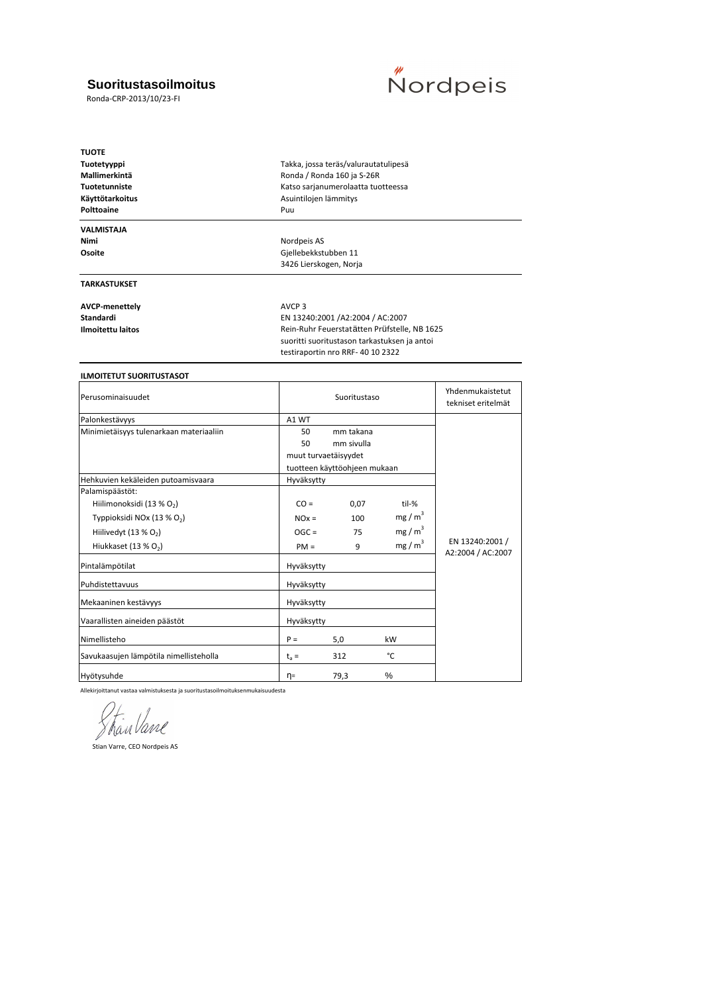## **Suoritustasoilmoitus**

Ronda-CRP-2013/10/23-FI



| <b>TUOTE</b>                    |                                              |
|---------------------------------|----------------------------------------------|
| Tuotetyyppi                     | Takka, jossa teräs/valurautatulipesä         |
| Mallimerkintä                   | Ronda / Ronda 160 ja S-26R                   |
| Tuotetunniste                   | Katso sarjanumerolaatta tuotteessa           |
| Käyttötarkoitus                 | Asuintilojen lämmitys                        |
| Polttoaine                      | Puu                                          |
| <b>VALMISTAJA</b>               |                                              |
| Nimi                            | Nordpeis AS                                  |
| Osoite                          | Gjellebekkstubben 11                         |
|                                 | 3426 Lierskogen, Norja                       |
| <b>TARKASTUKSET</b>             |                                              |
| <b>AVCP-menettely</b>           | AVCP <sub>3</sub>                            |
| Standardi                       | EN 13240:2001 /A2:2004 / AC:2007             |
| <b>Ilmoitettu laitos</b>        | Rein-Ruhr Feuerstatätten Prüfstelle, NB 1625 |
|                                 | suoritti suoritustason tarkastuksen ja antoi |
|                                 | testiraportin nro RRF-40 10 2322             |
|                                 |                                              |
| <b>ILMOITETUT SUORITUSTASOT</b> |                                              |

| Perusominaisuudet                       |            | Suoritustaso                 | Yhdenmukaistetut<br>tekniset eritelmät |                                      |
|-----------------------------------------|------------|------------------------------|----------------------------------------|--------------------------------------|
| Palonkestävyys                          | A1 WT      |                              |                                        |                                      |
| Minimietäisyys tulenarkaan materiaaliin | 50         | mm takana                    |                                        |                                      |
|                                         | 50         | mm sivulla                   |                                        |                                      |
|                                         |            | muut turvaetäisyydet         |                                        |                                      |
|                                         |            | tuotteen käyttöohjeen mukaan |                                        |                                      |
| Hehkuvien kekäleiden putoamisvaara      | Hyväksytty |                              |                                        |                                      |
| Palamispäästöt:                         |            |                              |                                        |                                      |
| Hiilimonoksidi (13 % O2)                | $CO =$     | 0,07                         | til-%                                  |                                      |
| Typpioksidi NOx (13 % O <sub>2</sub> )  | $NOx =$    | 100                          | mg/m <sup>3</sup>                      |                                      |
| Hiilivedyt (13 % O <sub>2</sub> )       | $OGC =$    | 75                           | mg/m <sup>3</sup>                      |                                      |
| Hiukkaset (13 % $O2$ )                  | $PM =$     | 9                            | mg/m <sup>3</sup>                      | EN 13240:2001 /<br>A2:2004 / AC:2007 |
| Pintalämpötilat                         | Hyväksytty |                              |                                        |                                      |
| Puhdistettavuus                         | Hyväksytty |                              |                                        |                                      |
| Mekaaninen kestävyys                    | Hyväksytty |                              |                                        |                                      |
| Vaarallisten aineiden päästöt           | Hyväksytty |                              |                                        |                                      |
| Nimellisteho                            | $P =$      | 5,0                          | kW                                     |                                      |
| Savukaasujen lämpötila nimellisteholla  | $t_a =$    | 312                          | °C                                     |                                      |
| Hyötysuhde                              | $\eta =$   | 79,3                         | %                                      |                                      |

Allekirjoittanut vastaa valmistuksesta ja suoritustasoilmoituksenmukaisuudesta

Stran Vane

Stian Varre, CEO Nordpeis AS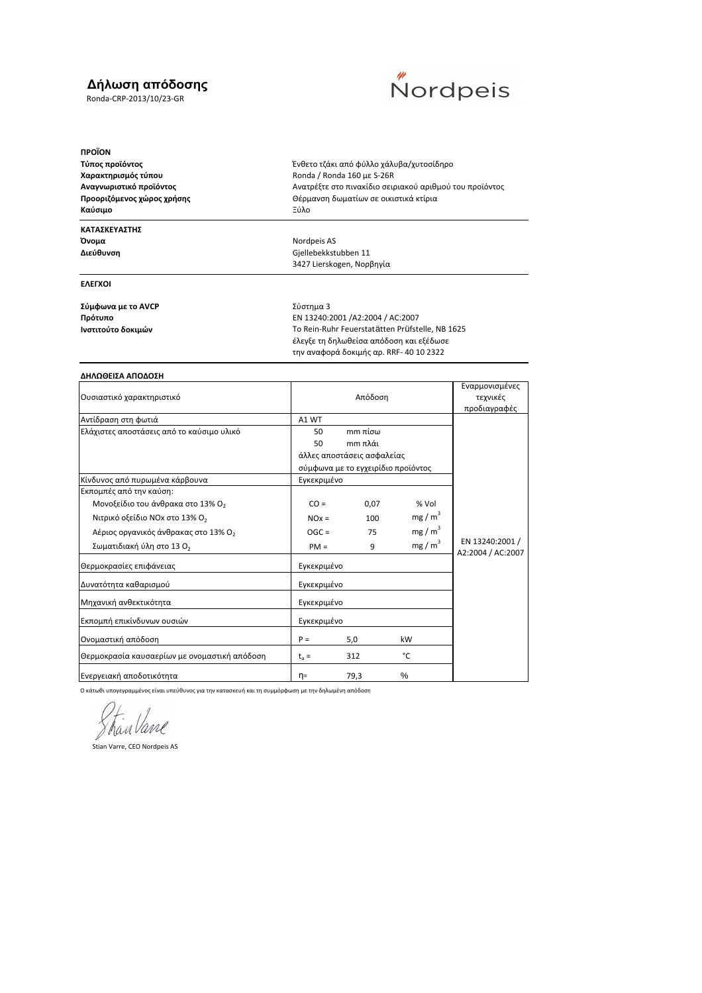## **∆ήλωση απόδοσης**

Ronda-CRP-2013/10/23-GR



**ΠΡΟΪΟΝ Χαρακτηρισμός τύπου CONFERGAL RONA RONA A RONGA 160 με S-26R Καύσιμο** Ξύλο

## **ΚΑΤΑΣΚΕΥΑΣΤΗΣ**

#### **ΕΛΕΓΧΟΙ**

**Σύμφωνα με το AVCP** Σύστημα 3

**Τύπος προϊόντος** Ένθετο τζάκι από φύλλο χάλυβα/χυτοσίδηρο **Αναγνωριστικό προϊόντος** Ανατρέξτε στο πινακίδιο σειριακού αριθμού του προϊόντος **Προοριζόμενος χώρος χρήσης** Θέρμανση δωματίων σε οικιστικά κτίρια

**Όνομα** Nordpeis AS<br>**Διεύθυνση** Διεύθυνση Διεύθυνση Διεύθυνση Διεύθυνση **Διεύθυνση** Gjellebekkstubben 11 3427 Lierskogen, Νορβηγία

**Πρότυπο** EN 13240:2001 /A2:2004 / AC:2007 **Ινστιτούτο δοκιμών** Το Rein-Ruhr Feuerstatätten Prüfstelle, NB 1625 έλεγξε τη δηλωθείσα απόδοση και εξέδωσε την αναφορά δοκιμής αρ. RRF- 40 10 2322

#### **ΔΗΛΩΘΕΙΣΑ ΑΠΟΔΟΣΗ**

|                                                  |             |                                    |                   | Εναρμονισμένες                       |
|--------------------------------------------------|-------------|------------------------------------|-------------------|--------------------------------------|
| Ουσιαστικό χαρακτηριστικό                        |             | Απόδοση                            | τεχνικές          |                                      |
|                                                  |             |                                    |                   | προδιαγραφές                         |
| Αντίδραση στη φωτιά                              | A1 WT       |                                    |                   |                                      |
| Ελάχιστες αποστάσεις από το καύσιμο υλικό        | 50          | $m$ πίσω                           |                   |                                      |
|                                                  | 50          | $m m \pi \lambda \alpha$ ι         |                   |                                      |
|                                                  |             | άλλες αποστάσεις ασφαλείας         |                   |                                      |
|                                                  |             | σύμφωνα με το εγχειρίδιο προϊόντος |                   |                                      |
| Κίνδυνος από πυρωμένα κάρβουνα                   | Εγκεκριμένο |                                    |                   |                                      |
| Εκπομπές από την καύση:                          |             |                                    |                   |                                      |
| Μονοξείδιο του άνθρακα στο 13% Ο <sub>2</sub>    | $CO =$      | 0,07                               | % Vol             |                                      |
| Νιτρικό οξείδιο NOx στο 13% O <sub>2</sub>       | $NOx =$     | 100                                | mg/m <sup>3</sup> |                                      |
| Αέριος οργανικός άνθρακας στο 13% Ο <sub>2</sub> | $OGC =$     | 75                                 | $mg/m^3$          |                                      |
| Σωματιδιακή ύλη στο 13 Ο <sub>2</sub>            | $PM =$      | 9                                  | mg/m <sup>3</sup> | EN 13240:2001 /<br>A2:2004 / AC:2007 |
| Θερμοκρασίες επιφάνειας                          | Εγκεκριμένο |                                    |                   |                                      |
| Δυνατότητα καθαρισμού                            | Εγκεκριμένο |                                    |                   |                                      |
| Μηχανική ανθεκτικότητα                           | Εγκεκριμένο |                                    |                   |                                      |
| Εκπομπή επικίνδυνων ουσιών                       | Εγκεκριμένο |                                    |                   |                                      |
| Ονομαστική απόδοση                               | $P =$       | 5,0                                | kW                |                                      |
| Θερμοκρασία καυσαερίων με ονομαστική απόδοση     | $t_a =$     | 312                                | °C                |                                      |
| Ενεργειακή αποδοτικότητα                         | η=          | 79,3                               | $\%$              |                                      |

Ο κάτωθι υπογεγραμμένος είναι υπεύθυνος για την κατασκευή και τη συμμόρφωση με την δηλωμένη απόδοση

ShanVane

Stian Varre, CEO Nordpeis AS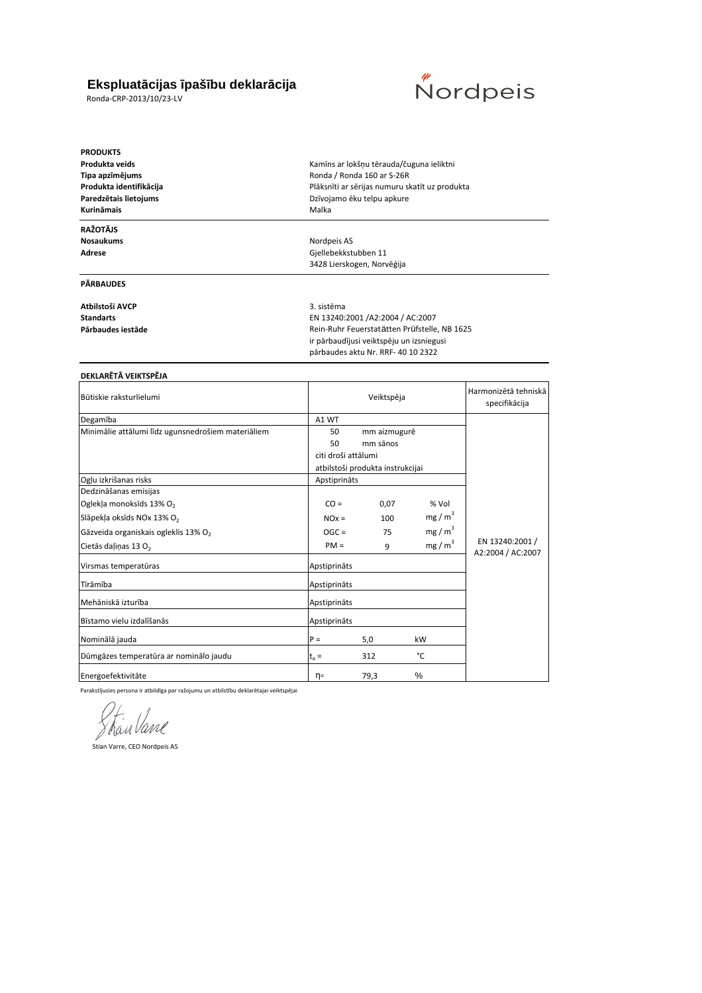## **Ekspluatācijas īpašību deklarācija**

Ronda-CRP-2013/10/23-LV



**PRODUKTS Produkta veids** Kamīns ar lokšņu tērauda/čuguna ieliktni **Tipa apzīmējums** Ronda / Ronda 160 ar S-26R Paredzētais lietojums<br>
Dzīvojamo ēku telpu apkure **Kurināmais** Malka **RAŽOTĀJS**

**Nosaukums** Nordpeis AS<br> **Adrese** Nordpeis AS<br>
Gjellebekkstı

#### **PĀRBAUDES**

**Atbilstoši AVCP** 3. sistēma

**Produkta identifikācija** Plāksnīti ar sērijas numuru skatīt uz produkta

**Adrese** Gjellebekkstubben 11 3428 Lierskogen, Norvēģija

**Standarts** EN 13240:2001 /A2:2004 / AC:2007 Pārbaudes iestāde **Parbaudes iestāde** Rein-Ruhr Feuerstatätten Prüfstelle, NB 1625 ir pārbaudījusi veiktspēju un izsniegusi pārbaudes aktu Nr. RRF- 40 10 2322

#### **DEKLARĒTĀ VEIKTSPĒJA**

| Būtiskie raksturlielumi                            |                                  | Veiktspēja   | Harmonizētā tehniskā<br>specifikācija |                                      |  |
|----------------------------------------------------|----------------------------------|--------------|---------------------------------------|--------------------------------------|--|
| Degamība                                           | A1 WT                            |              |                                       |                                      |  |
| Minimālie attālumi līdz ugunsnedrošiem materiāliem | 50                               | mm aizmugurē |                                       |                                      |  |
|                                                    | 50                               | mm sānos     |                                       |                                      |  |
|                                                    | citi droši attālumi              |              |                                       |                                      |  |
|                                                    | atbilstoši produkta instrukcijai |              |                                       |                                      |  |
| Ogļu izkrišanas risks                              | Apstiprināts                     |              |                                       |                                      |  |
| Dedzināšanas emisijas                              |                                  |              |                                       |                                      |  |
| Oglekļa monoksīds 13% O <sub>2</sub>               | $CO =$                           | 0,07         | % Vol                                 |                                      |  |
| Slāpekļa oksīds NOx 13% O <sub>2</sub>             | $NOx =$                          | 100          | mg/m <sup>3</sup>                     |                                      |  |
| Gāzveida organiskais ogleklis 13% O <sub>2</sub>   | $OGC =$                          | 75           | mg/m <sup>3</sup>                     |                                      |  |
| Cietās daļiņas 13 O <sub>2</sub>                   | $PM =$                           | 9            | mg/m <sup>3</sup>                     | EN 13240:2001 /<br>A2:2004 / AC:2007 |  |
| Virsmas temperatūras                               | Apstiprināts                     |              |                                       |                                      |  |
| Tīrāmība                                           | Apstiprināts                     |              |                                       |                                      |  |
| Mehāniskā izturība                                 | Apstiprināts                     |              |                                       |                                      |  |
| Bīstamo vielu izdalīšanās                          | Apstiprināts                     |              |                                       |                                      |  |
| Nominālā jauda                                     | $P =$                            | 5,0          | kW                                    |                                      |  |
| Dūmgāzes temperatūra ar nominālo jaudu             | $t_a =$                          | 312          | °C                                    |                                      |  |
| Energoefektivitāte                                 | η=                               | 79,3         | %                                     |                                      |  |

Parakstījusies persona ir atbildīga par ražojumu un atbilstību deklarētajai veiktspējai

Stranbane

Stian Varre, CEO Nordpeis AS